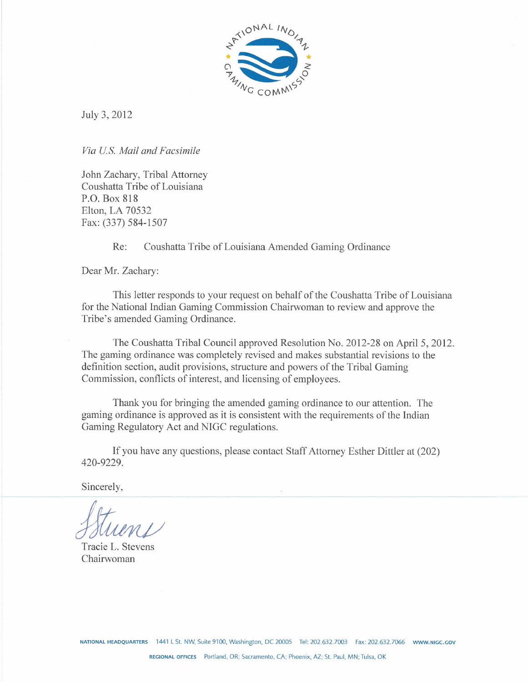

July 3,2012

*Via US. Mail and Facsimile* 

John Zachary, Tribal Attorney Coushatta Tribe of Louisiana P.O. Box 818 Elton, LA 70532 Fax: (337) 584-1507

Re: Coushatta Tribe of Louisiana Amended Gaming Ordinance

Dear Mr. Zachary:

This letter responds to your request on behalf of the Coushatta Tribe of Louisiana for the National Indian Gaming Commission Chainvoman to review and approve the Tribe's amended Gaming Ordinance.

The Coushatta Tribal Council approved Resolution No. 2012-28 on April 5,2012. The gaming ordinance was completely revised and makes substantial revisions to the definition section, audit provisions, structure and powers of the Tribal Gaming Commission, conflicts of interest, and licensing of employees.

Thank you for bringing the amended gaming ordinance to our attention. The gaming ordinance is approved as it is consistent with the requirements of the Indian Gaming Regulatory Act and NIGC regulations.

If you have any questions, please contact Staff Attorney Esther Dittler at (202) 420-9229.

Sincerely,

Tracie L. Stevens Chairwoman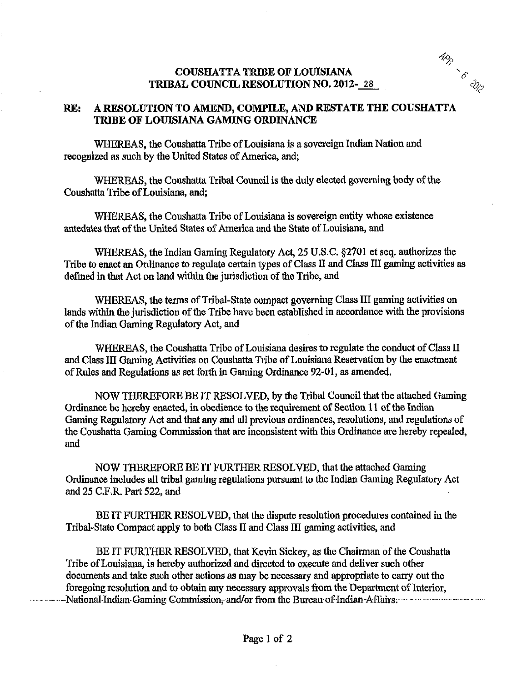## **COUSWTA TRIBE OF LOUISIANA** '6 **TRIBAL COUNCIL RESOLUTION NO. 2012-128**

**APR**<br>6 APR



WHEREAS, the Coushatta Tribe of Louisiana is a sovereign Indian Nation and recognized as such by the United States of America, and;

WHEREAS, the Coushatta Tribal Council is the duly elected governing body of the Coushatta Tribe of Louisiana, and;

WHEREAS, the Coushatta Tribe of Louisiana is sovereign entity whose existence antedates that of the United States of America **and** the State of Louisiana, and

WHEREAS, the Indian Gaming Regulatory Act, 25 U.S.C. \$2701 et seq. authorizes the Tribe to enact an Ordinance to regulate certain types of Class **LI** and Class III **gaming** activities as defined in that Act on land within the jurisdiction of the Tribe, and

WHEREAS, the terms of Tribal-State compact governing Class 111 gaming activities on lands within the jurisdiction of the Tribe have been established in accordance with the provisions of the Indian Gaming Regulatory Act, and

WHEREAS, the Coushatta Tribe of Louisiana desires to regulate the conduct of Class **11**  and Class 111 Gaming Activities on Coushatta Tribe of Louisiana Reservation by the enactment of Rules and Regulations as set forth in Gaming Ordinance 92-01, as amended.

NOW THEREFORE BE IT RESOLVED, by the Tribal Council that the attached Gaming Ordinance be hereby enacted, in obedience to the requirement of Section 11 of the Indian Gaming Regulatory Act and that any and all previous ordinances, resolutions, and regulations of the Coushatta Gaming Commission that are inconsistent with this Ordinance are hereby repealed, and

NOW THEREFORE BE IT FURTHER RESOLVED, that the attached Gaming Ordinance includes all tribal gaming regulations pursuant to the Indian Gaming Regulatory Act and 25 C.F.R. Part 522, and

BE IT FURTHER RESOLVED, that the dispute resolution procedures contained in the Tribal-State Compact apply to both Class I1 and Class **III gaming** activities, and

BE IT FURTHER RESOLVED, that Kevin Sickey, as the Chairman of the Coushatta Tribe of Louisiana, is hereby authorized and directed to execute and deliver such other documents and take such other actions as may be necessary and appropriate to carry out the foregoing resolution and to obtain any necessary approvals from the Department of Interior, foregoing resolution and to obtain any necessary approvals from the Department of Interior, National-Indian. Gaming **~o~ission....an~/OP.from** the .Bureau.of -Indian..Affairs.. -- -.-- . -. . .. .... . . . .-- .........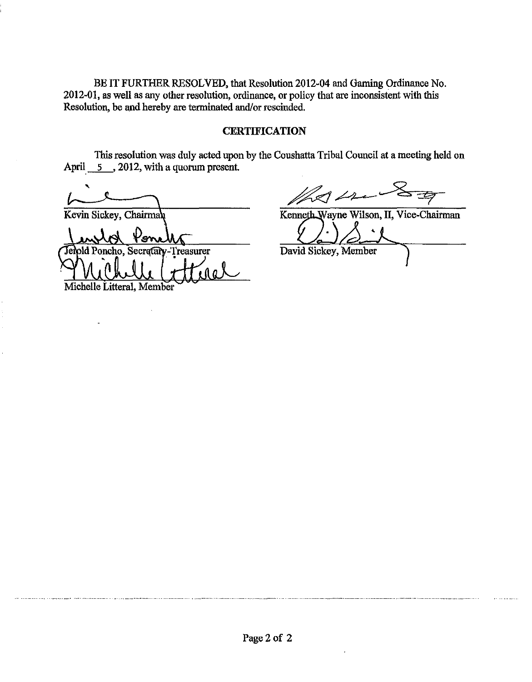BE IT FURTHER RESOLVED, that Resolution 2012-04 and Gaming Ordinance No. 2012-01, as well as any other resolution, ordinance, or policy that are inconsistent with this Resolution, be and hereby are terminated and/or rescinded.

## **CERTIFICATION**

This resolution was duly acted upon by the Coushatta Tribal Council at a meeting held on April 5, 2012, with a quorum present.

\* Kevin Sickey, Chairman Kenneth Wayne Wilson, II, Vice-Chairman

old Poncho. Secretary-Treasurer .let Michelle Litteral, Member

 $\mathbb{Z}$ dre

 $\ddot{\phantom{0}}$ David Sickey, Member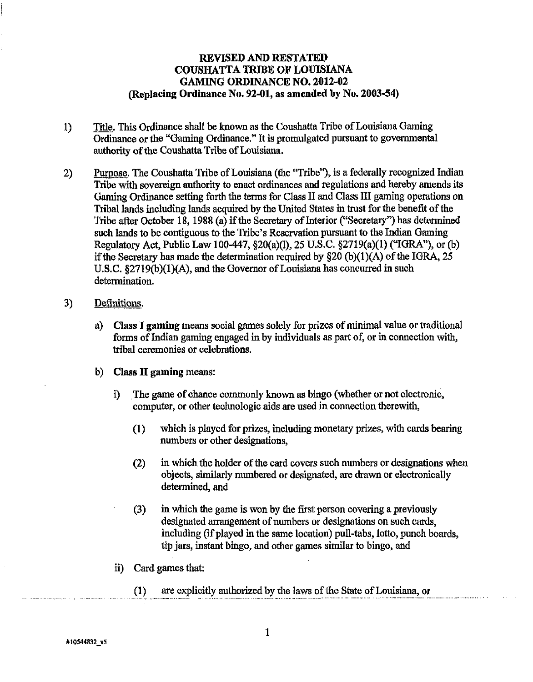# **REVISED AND RESTATED COUSHATTA TRIBE OF LOTBSLANA GAMING ORDINANCE NO.** 2012-02 **(Replacing Ordinance No.** 92-01, **as amended** by **No.** 2003-54)

- 1) **m.** This Ordinance shall be known as the Coushatta Tribe of Louisiana Gaming Ordinance or the "Gaming Ordinance." It is promulgated pursuant to governmental authority of the Coushatta Tribe of Louisiana.
- 2) Purpose. The Coushatta Tribe of Louisiana (the "Tribe"), is a federally recognized Indian Tribe with sovereign authority to enact ordinances and regulations and hereby amends its Gaming Ordinance setting forth the terms for Class **I1** and Class **I11** gaming operations on Tribal lands including lands acquired by the United States in trust for the benefit of the Tribe after October 18, 1988 (a) if the Secretary of Interior ("Secretary") has determined such lands to be contiguous to the Tribe's Reservation pursuant to the Indian Gaming Regulatory Act, Public Law 100-447, §20(a)(l), 25 U.S.C. §2719(a)(1) ("IGRA"), or (b) if the Secretary has made the determination required by  $\S20$  (b)(1)(A) of the IGRA, 25 U.S.C. §2719(b)(1)(A), and the Governor of Louisiana has concurred in such determination.
- 3) Definitions.
	- a) **Class** I **gaming** means social games solely for prizes of minimal value or traditional forms of Indian gaming engaged in by individuals as part of, or in connection with, tribal ceremonies or celebrations.
	- b) **Class 11 gaming** means:
		- i) The game of chance commonly known as bingo (whether or not electronic, computer, or other technologic aids are used in connection therewith,
			- (1) which is played for prizes, including monetary prizes, with cards bearing numbers or other designations,
			- (2) in which the holder of the card covers such numbers or designations when objects, similarly numbered or designated, are drawn or electronically determined, and
			- **(3)** in which the game is won by the first person covering a previously designated arrangement of numbers or designations on such cards, including (if played in the same location) pull-tabs, lotto, punch boards, tip jars, instant bingo, and other games similar to bingo, and
		- ii) Card games that:
			- $(1)$ are explicitly authorized by the laws of the State of Louisiana, or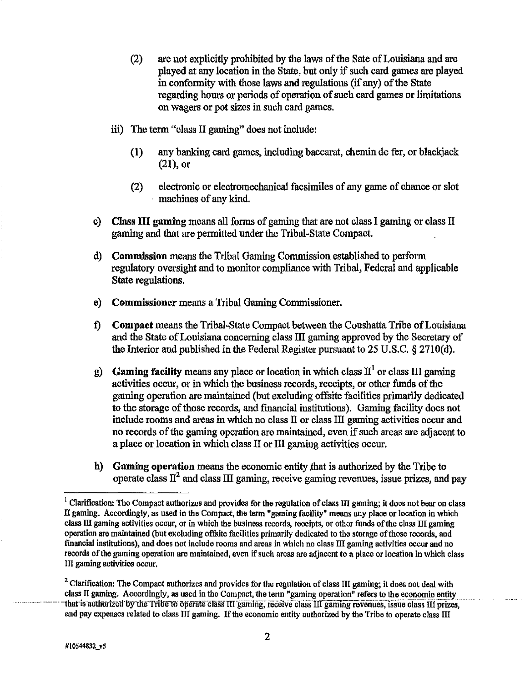- (2) are not explicitly prohibited by the laws of the Sate of Louisiana and are played at any location in the State, but only if such card games are played in conformity with those laws and regulations (if any) of the State regarding hours or periods of operation of such card games or limitations on wagers or pot sizes in such card games.
- iii) The term "class **I1** gaming" does not include:
	- **(1)** any banking card games, including baccarat, chemin de fer, or blackjack  $(21)$ , or
	- (2) electronic or electromechanical facsimiles of any game of chance or slot machines of any kid.
- c) Class **111** gaming means all forms of gaming that are not class I gaming or class **<sup>11</sup>** gaming and that are permitted under the Tribal-State Compact.
- d) Commission means the Tribal Gaming Commission established to perform regulatory oversight and to monitor compliance with Tribal, Federal and applicable State regulations.
- e) Commissioner means a Tribal Gaming Commissioner.
- **f)** Compact means the Tribal-State Compact between the Coushatta Tribe of Louisiana and the State of Louisiana concerning class **III** gaming approved by the Secretary of the Interior and published in the Federal Register pursuant to 25 U.S.C. **4** 2710(d).
- g) Gaming facility means any place or location in which class **11'** or class **I11** gaming activities occur, or in which the business records, receipts, or other funds of the gaming operation are maintained (but excluding offsite facilities primarily dedicated to the storage of those records, and fiancial institutions). Gaming facility does not include rooms and areas in which no class II or class III gaming activities occur and no records of the gaming operation are maintained, even if such areas are adjacent to a place or location in which class II or III gaming activities occur.
- h) Gaming operation means the economic entity ,that is authorized by the Tribe to operate class **1'** and class **111** gaming, receive gaming revenues, issue prizes, and pay

<sup>&</sup>lt;sup>1</sup> Clarification: The Compact authorizes and provides for the regulation of class III gaming; it does not bear on class **Il** gaming. Accordingly, as used in the Compact, the term "gaming facility" means any place or location in which class **III** gaming activities occur, or in which the business records, receipts, or other funds ofthe class **111** gaming operation are maintained (but excluding of'fsite facilities primarily dedicated to the storage of those records, and financial institutions), and does not include rooms and areas in which no class **111** gaming activities oocur and no records of the gaming operation are maintained, even if such areas are adjacent to a place or location in which class III gaming activities occur.

<sup>&</sup>lt;sup>2</sup> Clarification: The Compact authorizes and provides for the regulation of class **III** gaming; it does not deal with  $\frac{1}{2}$ class II gaming. Accordingly, as used in the Compact, the term "gaming operation" refers to the economic entity that is authorized by the Tribe to operate class III gaming, receive class III gaming revenues, issue class III prizes, and pay expenses related to class III gaming. If the economic entity authorized by the Tribe to operate class III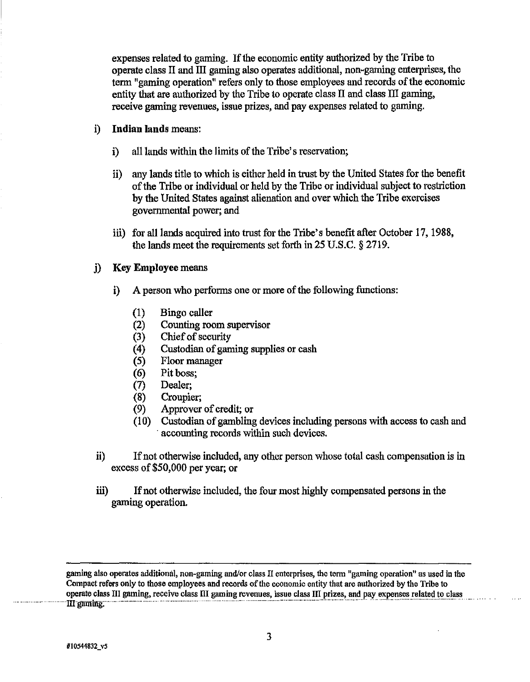expenses related to gaming. If the economic entity authorized by the Tribe to operate class **I1** and I11 gaming also operates additional, non-gaming enterprises, the term "gaming operation" refers only to those employees and records of the economic entity that are authorized by the Tribe to operate class **II** and class I11 gaming, receive gaming revenues, issue prizes, and pay expenses related to gaming.

- i) Indian lands means:
	- i) all lands within the limits of the Tribe's reservation;
	- ii) any lands title to which is either held in trust by the United States for the benefit of the Tribe or individual or held by the Tribe or individual subject to restriction by the United States against alienation and over which the Tribe exercises governmental power; and
	- **iii)** for all lands acquired into trust for the Tribe's benefit after October 17, 1988, the lands meet the requirements set forth in 25 U.S.C. *5* 2719.
- **j) Key** Employee means
	- i) A person who performs one or more of the following functions:
		- $(1)$ Bingo caller
		- Counting room supervisor  $(2)$
		- $(3)$ Chief of security
		- Custodian of gaming supplies or cash  $(4)$
		- Floor manager  $(5)$
		- Pit boss;  $(6)$
		- Dealer;  $(7)$
		- $(8)$ Croupier;
		- $(9)$ Approver of credit; or
		- $(10)$ Custodian of gambling devices including persons with access to cash and accounting records within such devices.
- ii) If not otherwise included, any other person whose total cash compensation is in excess of \$50,000 per year; or
- **ii)** If not otherwise included, the four most highly compensated persons in the gaming operation.

**gaming also operates additional, non-gaming and/or class** I1 **enterprises, the term "gaming operation" as used in the Compact refers only to those employees and records ofthe economio entity that are authorized by the Tribe to**  operate class III gaming, receive class III gaming revenues, issue class III prizes, and pay expenses related to class<br>III gaming.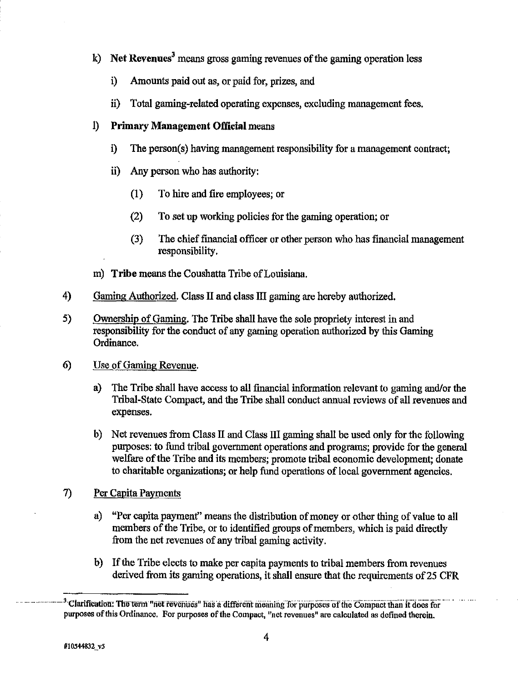- $k)$  **Net Revenues**<sup>3</sup> means gross gaming revenues of the gaming operation less
	- i) Amounts paid out as, or paid for, prizes, and
	- ii) Total gaming-related operating expenses, excluding management fees.

# 1) Primary Management Official means

- i) The person(s) having management responsibility for a management contract;
- ii) Any person who has authority:
	- **(1)** To hire and **fire** employees; or
	- (2) To set up working policies for the gaming operation; or
	- **(3)** The chief financial officer or other person who has financial management responsibility.
- m) Tribe means the Coushatta Tribe of Louisiana.
- 4) Gaming Authorized. Class II and class III gaming are hereby authorized.
- **5)** Ownership of Gaming. The Tribe shall have the sole propriety interest in and responsibility for the conduct of any gaming operation authorized by this Gaming Ordinance.
- 6) Use of Gaming Revenue.
	- a) The Tribe shall have access to all financial information relevant to gaming and/or the Tribal-State Compact, and the Tribe shall conduct annual reviews of all revenues and expenses.
	- b) Net revenues from Class **I1** and Class **IIl** gaming shall be used only for the following purposes: to fund tribal government operations and programs; provide for the general welfare of the Tribe and its members; promote tribal economic development; donate to charitable organizations; or help fund operations of local government agencies.
- 7) Per Capita Payments
	- a) "Per capita payment" means the distribution of money or other thing of value to all members of the Tribe, or to identified groups of members, which is paid directly from the net revenues of any tribal gaming activity.
	- b) If the Tribe elects to make per capita payments to tribal members from revenues derived from its gaming operations, it shall ensure that the requirements of 25 CFR

<sup>&</sup>lt;sup>3</sup> Clarification: The term "net revenues" has a different meaning for purposes of the Compact than it does for **purposes of this Ordinance. For purposes of the Compact, "net revenues" are calculated as defined therein.**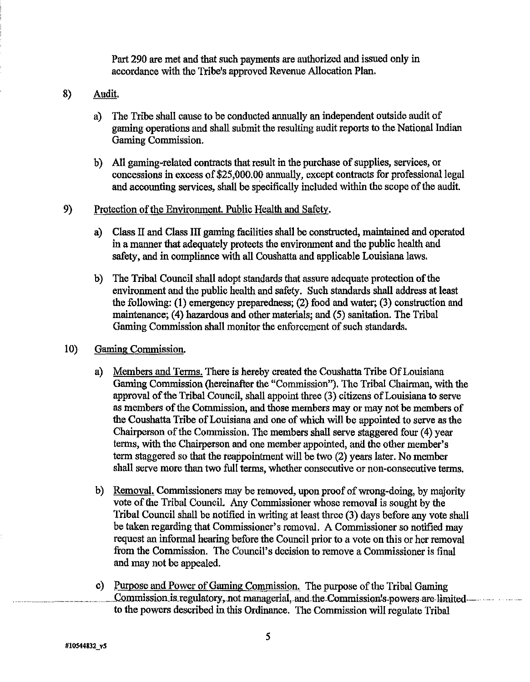Part 290 are met and that such payments are authorized and issued only in accordance with the Tribe's approved Revenue Allocation Plan.

- 8) Audit.
	- a) The Tribe shall cause to be conducted annually an independent outside audit of gaming operations and shall submit the resulting audit reports to the National Indian Gaming Commission.
	- b) All gaming-related contracts that result in the purchase of supplies, services, or concessions in excess of \$25,000.00 annually, except contracts for professional legal and accounting services, shall be specifically included within the scope of the audit.
- 9) Protection of the Environment. Public Health and Safety.
	- a) Class **I1** and Class **111** gaming facilities shall be constructed, maintained and operated in a manner that adequately protects the environment and the public health and safety, and in compliance with all Coushatta and applicable Louisiana laws.
	- b) The Tribal Council shall adopt standards that assure adequate protection of the environment and the public health and safety. Such standards shall address at least the following: (1) emergency preparedness; (2) food and water; (3) construction and maintenance; (4) hazardous and other materials; and (5) sanitation. The Tribal Gaming Commission shall monitor the enforcement of such standards.
- 10) Gaming Commission.
	- a) Members and Terms. There is hereby created the Coushatta Tribe Of Louisiana Gaming Commission (hereinafter the "Commission"). The Tribal Chairman, with the approval of the Tribal Council, shall appoint three (3) citizens of Louisiana to serve as members of the Commission, and those members may or may not be members of the Coushatla Tribe of Louisiana and one of which will be appointed to serve as the Chairperson of the Commission. The members shall serve staggered four (4) year terns, with the Chairperson and one member appointed, **and** the other member's term staggered so that the reappointment will be two (2) years later. No member shall serve more than two full terms, whether consecutive or non-consecutive terms.
	- b) Removal. Commissioners may be removed, upon proof of wrong-doing, by majority vote of the Tribal Council. Any Commissioner whose removal is sought by the Tribal Council shall be notified in writing at least three (3) days before any vote shall be taken regarding that Commissioner's removal. A Commissioner so notified may request an informal hearing before the Council prior to a vote on this or her removal from the Commission. The Council's decision to remove a Commissioner is final and may not be appealed.
	- c) Purpose and Power of Gaming Commission. The purpose of the Tribal Gaming Commission is regulatory, not managerial, and the Commission's powers are limited—**--------**to the powers described in this Ordinance. The Commission will regulate Tribal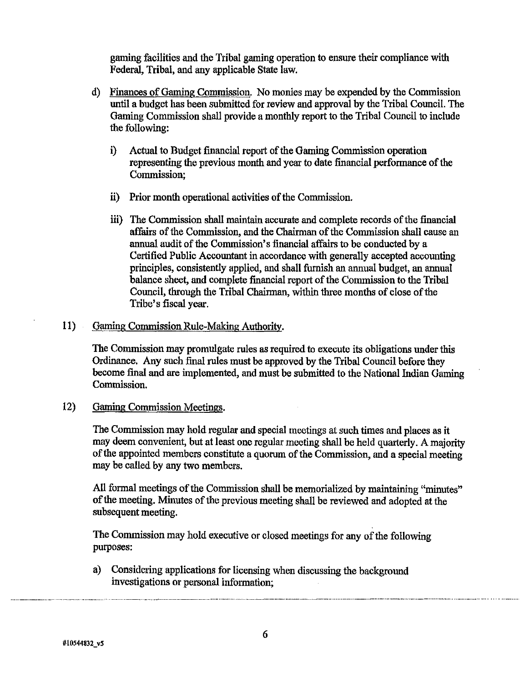gaming facilities and the Tribal gaming operation to ensure their compliance with Federal, Tribal, and any applicable State law.

- d) Finances of Gaming Commission. No monies may be expended by the Commission until a hudgct has been submitted for review and approval by the Tribal Council. The Gaming Commission shall provide a monthly report to the Tribal Council to include the following:
	- i) Actual to Budget financial report of the Gaming Commission operation representing the previous month and year to date financial performance of the Commission;
	- ii) Prior month operational activities of the Commission.
	- iii) The Commission shall maintain accurate and complete records of the financial affairs of the Commission, and the Chairman of the Commission shall cause an annual audit of the Commission's financial affairs to be conducted by a Certified Public Accountant in accordance with generally accepted accounting principles, consistently applied, and shall furnish an **annual** budget, an annual balance sheet, and complete financial report of the Commission to the Tribal Council, **through** the Tribal Chairman, within three months of close of the Tribe's fiscal year.

# 11) Gaming Commission Rule-Making Authority.

The Commission may promulgate rules as required to execute its obligations under this Ordinance. Any such final rules must be approved by the Tribal Council before they become final and are implemented, and must be submitted to the National Indian Gaming Commission.

12) Gaming Commission Meetings.

The Commission may hold regular and special meetings at such times and places as it may deem convenient, but at least one regular meeting shall be held quarterly. A majority of the appointed members constitute a quorum of the Commission, and a special meeting may be called by any two members.

All formal meetings of the Commission shall be memorialized by maintaining "minutes" of the meeting. Minutes of the previous meeting shall be reviewed and adopted at the subsequent meeting.

The Commission may hold executive or closed meetings for any of the following purposes:

a) Considering applications for licensing when discussing the background investigations or personal information;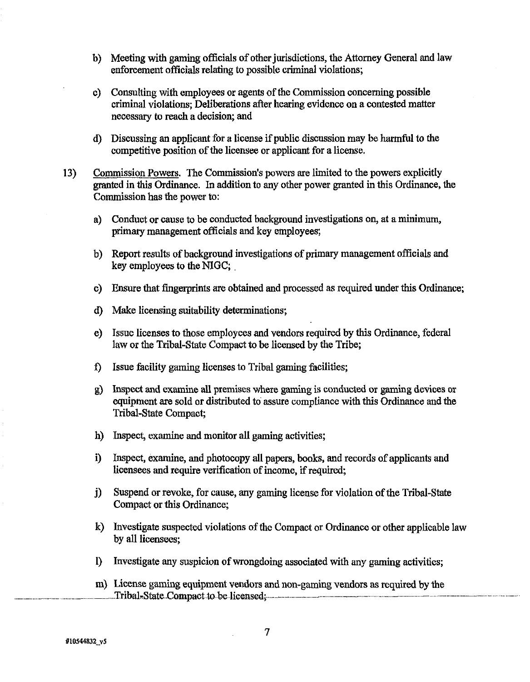- b) Meeting with gaming officials of other jurisdictions, the Attorney General and law enforcement officials relating to possible criminal violations;
- c) Consulting with employees or agents of the Commission concerning possible criminal violations; Deliberations after hearing evidence on a contested matter necessary **to** reach **a** decision; and
- d) Discussing an applicant for a license if public discussion may be harmful to the competitive position of the licensee or applicant for a license.
- **13)** Commission Powers. The Commission's powers are limited to the powers explicitly granted in this Ordinance. In addition to any other power granted in this Ordinance, the Commission has the power to:
	- a) Conduct or cause to be conducted background investigations on, at a minimum, primary management officials and key employees;
	- b) Report results of background investigations of primary management officials and key employees to the NIGC;
	- c) Ensure that fingerprints are obtained and processed as required under this Ordinance;
	- d) Make licensing suitability determinations;
	- e) Issue licenses to those employees and vendors required by this Ordinance, federal law or the Tribal-State Compact to be licensed by the Tribe;
	- **f)** Issue facility gaming licenses to Tribal gaming facilities;
	- **g)** Inspect and examine all premises where gaming is conducted or gaming devices or equipment are sold or distributed to assure compliance with this Ordinance and the Tribal-State Compaot;
	- h) Inspect, examine and monitor all gaming activities;
	- i) Inspect, examine, and photocopy all papers, books, and records of applicants and licensees and require verification of income, if required,
	- **j)** Suspend or revoke, for cause, any gaming license for violation of the Tribal-State Compact or this Ordinance;
	- k) Investigate suspected violations of the Compact or Ordinance or other applicable law by all licensees;
	- 1) Investigate any suspicion of wrongdoing associated with any gaming activities;
- m) License gaming equipment vendors and non-gaming vendors as required by the<br> **Tribal-State Compact to be licensed**;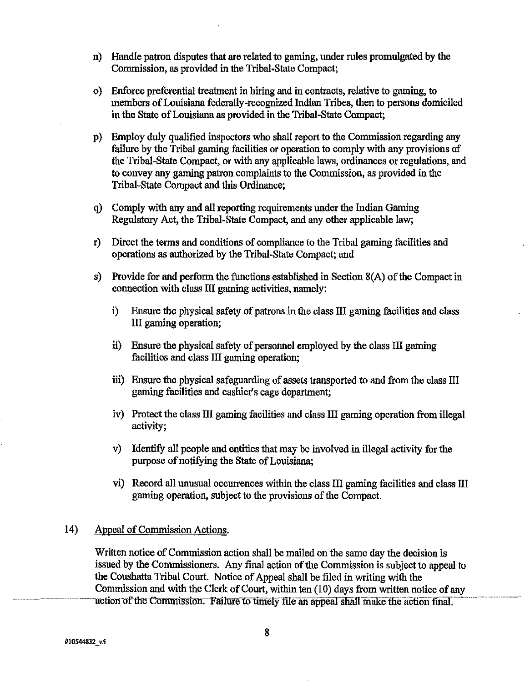- n) Handle patron disputes that are related to gaming, under rules promulgated by the Commission, as provided in the Tribal-State Compact;
- o) Enforce preferential treatment in hiring and in contracts, relative to gaming, to members of Louisiana federally-recognized Indian Tribes, then to persons domiciled in the State of Louisiana as provided in the Tribal-State Compact;
- p) Employ duly qualified inspectors who shall report to the Commission regarding any failure by the Tribal gaming facilities or operation to comply with any provisions of the Tribal-State Compact, or with any applicable laws, ordinances or regulations, and to convey any gaming patron complaints to the Commission, as provided in the Tribal-State Compact and this Ordinance;
- q) Comply with any and all reporting requirements under the Indian Gaming Regulatory Act, the Tribal-State Compact, and any other applicable law;
- r) Direct the terms and conditions of compliance to the Tribal gaming facilities and operations as authorized by the Tribal-State Compact; and
- s) Provide for and perform the functions established in Section  $8(A)$  of the Compact in connection with class III gaming activities, namely:
	- i) Ensure the physical safety of patrons in the class 111 gaming facilities and class III gaming operation;
	- **ii)** Ensure the physical safety of personnel employed by the class 111 gaming facilities and class III gaming operation;
	- iii) Ensure the physical safeguarding of assets transported to and from the class I11 gaming facilities and cashier's cage department;
	- iv) Protect the class **XI1** gaming facilities and class 111 gaming operation from illegal activity;
	- v) Identify all people and entities that may be involved in illegal activity for the purpose of notifying the State of Louisiana;
	- vi) Rewrd all unusual occurrences within the class I11 gaming facilities and class **IU.**  gaming operation, subject to the provisions of the Compact.

## 14) Appeal of Commission Actions.

Written notice of Commission action shall be mailed on the same day the decision is issued by the Commissioners. Any final action of the Commission is subject to appeal to the Coushatta Tribal Court. Notice of Appeal shall be filed in writing with the Commission and with the Clerk of Court, within ten (10) days from written notice of any action of the Commission. Failure to timely file an appeal shall make the action final.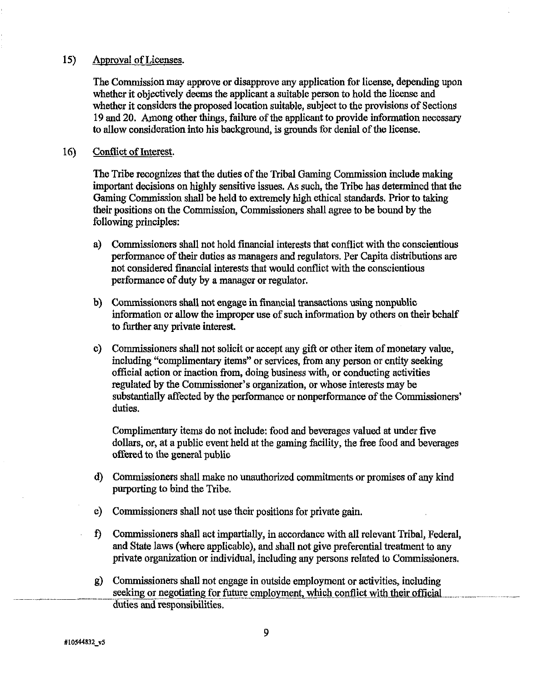### **15)** Approval of Licenses.

The Commission may approve or disapprove any application for license, depending upon whether it objectively deems the applicant a suitable person to hold the license and whether it considers the proposed location suitable, subject to the provisions of Sections 19 and 20. Among other things, failure of the applicant to provide information necessary to allow consideration into his background, is grounds for denial of the license.

### 16) Confiict of Interest.

The Tribe recognizes that the duties of the Tribal Gaming Commission include making important decisions on highly sensitive issues. As such, the Tribe has determined that the Gaming Commission shall be held to extremely high ethical standards. Prior to taking their positions on the Commission, Commissioners shall agree to be bound by the following principles:

- a) Commissioners shall not hold financial interests that conflict with the conscientious performance of their duties as managers and regulators. Per Capita distributions **are**  not considered financial interests that would conflict with the conscientious performance of duty by a manager or regulator.
- b) Commissioners shall not engage in financial transactions using nonpublic information or allow the improper use of such information by others on their behalf to further any private interest.
- c) Commissioners shall not solicit or accept any **gift** or other item of monetary value, including "complimentazy items" or services, from any person or entity seeking official action or inaction from, doing business with, or conducting activities regulated by the Commissioner's organization, or whose interests may be substantially affected by the performance or nonperformance of the Commissioners' duties.

Complimentary items do not include: food and beverages valued at under five dollars, or, at a public event held at the gaming facility, the free food and beverages offered to the general public

- d) Commissioners shall make no unauthorized commitments or promises of any kind purporting to bind the Tribe.
- e) Commissioners shall not use their positions for private gain.
- **f)** Commissioners shall act impartially, in accordance with all relevant Tribal, Federal, and State laws (where applicable), and shall not give preferential treatment to any private organization or individual, including any persons related to Commissioners.
- g) Commissioners shall not engage in outside employment or activities, including seeking or negotiating for future employment, which conflict with their official duties and responsibilities.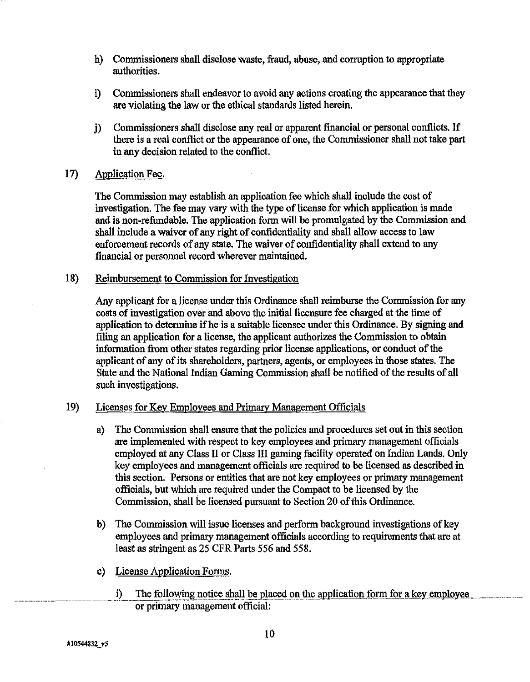- h) Commissioners shall disclose waste, fraud, abuse, and corruption to appropriate authorities.
- i) Commissioners shall endeavor to avoid any actions creating the appearance that they are violating the law or the ethical standards listed herein.
- **j)** Commissioners shall disclose any real or apparent financial or personal conflicts. If there is a real conflict or the appearance of one, the Commissioner shall not take part in any decision related to the conflict.
- 17) Application **Fee.**

The Commission may establish an application fee which shall include the cost of investigation. The fee may vary with the type of license for which application is made and is non-refundable. The application form will be promulgated by the Commission and shall include a waiver of any right of confidentiality and shall allow access to law enforcement records of any state. The waiver of confidentiality shall extend to any financial or personnel record wherever maintained.

**18)** Reimbursement to Commission for Investigation

Any applicant for a license under this Ordinance shall reimburse the Commission for any costs of investigation over and above the initial licensure fee charged at the time of application to determine if he is a suitable licensee under this Ordinance. By signing and filing an application for a license, the applicant authorizes the Commission to obtain information from other states regarding prior license applications, or conduct of the applicant of any of its shareholders, partners, agents, or employees in those states. The State and the National Indian Gaming Commission shall be notified of the results of all such investigations.

## **19)** Licenses for Kev Emplovees and Primary Management Officials

- a) The Commission shall ensure that the policies and procedures set out in this section are implemented with respect to key employees and primary management officials employed at any Class **I1** or Class I11 gaming facility operated on Indian Lands. Only key employees and management officials are required to be licensed as described in this section. Persons or entities that are not key employees or primary management officials, but which are required under the Compact to be licensed by the Commission, shall be licensed pursuant to Section 20 of this Ordinance.
- b) The Commission will issue licenses and perform background investigations of key employees and primary management officials according to requirements that are at least as stringent as 25 CFR Parts 556 and 558.
- c) License Application Forms.
	- i) The following notice shall be placed on the application form for a key employee or primary management official: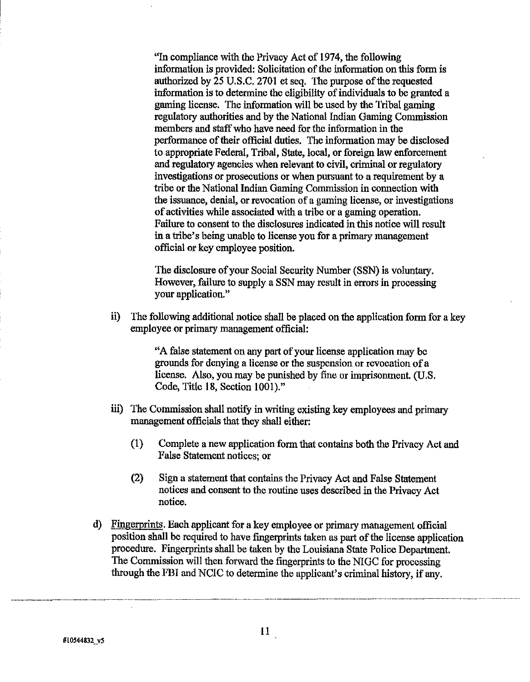"In compliance with the Privacy Act of 1974, the following information is provided: Solicitation of the information on this form is authorized by 25 U.S.C. 2701 et seq. The purpose of the requested information is to determine the eligibility of individuals to be granted a gaming license. The information will be used by the Tribal gaming regulatory authorities and by the National Indian Gaming Commission members and staff who have need for the information in the verformance of their official duties. The information mav be disclosed io appropriate Federal, Tribal, State, local, or foreign law enforcement and regulatory agencies when relevant to civil, criminal or regulatory investigations or prosecutions or when pursuant to a requirement by a tribe or the National Indian Gaming Commission in connection with the issuance, denial, or revocation of a gaming license, or investigations of activities while associated with a tribe or a gaming operation. Failure to consent to the disclosures indicated in this notice will result in a tribe's being unable to license you for a primary management official or key employee position.

The disclosure of your Social Security Number (SSN) is voluntary. However, failure to supply a SSN may result in errors in processing your application."

ii) The following additional notice shall be placed on the application form for a key employee or primary management official:

> "A false statement on any part of your license application may be grounds for denying a license or the suspension or revocation of a license. Also, you may be punished by fine or imprisonment. (U.S. Code, Title 18, Section 1001)."

- iii) The Commission shall notify in writing existing key employees and primary management officials that they shall either:
	- **(1)** Complete a new application form that contains both the Privacy Act and False Statement notices; or
	- (2) Sign a statement that contains the Privacy Act and False Statement notices and consent to the routine uses described in the Privacy Act notice.
- d) Finperprints. Each applicant for a key employee or primary management official position shall be required to have fingerprints taken as part of the license application procedure. Fingerprints shall be taken by the Louisiana State Police Department. The Commission will then forward the fingerprints to the NIGC for processing through the FBI and NCIC to determine the applicant's criminal history, if any.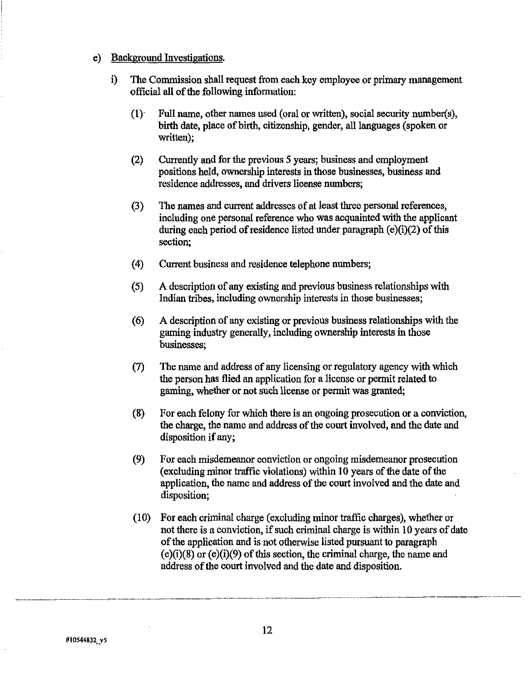### e) Background Investigations.

- i) The Commission shall request from each key employee or primary management official all of the following information:
	- **(1).** Full name, other names used (oral or written), social security number(s), birth date, place of birth, citizenship, gender, all languages (spoken or written);
	- *(2)* Currently and for the previous 5 years; business and employment positions held, ownership interests in those businesses, business and residence addresses, and drivers license numbers;
	- **(3)** The names and current addresses of at least three personal references, including one personal reference who was acquainted with the applicant during each period of residence listed under paragraph (e)(i)(2) of this section;
	- **(4)** Current business and residence telephone numbers;
	- (5) A description of any existing and previous business relationships with Indian tribes, including ownership interests in those businesses;
	- *(6)* A description of any existing or previous business relationships with the gaming industry generally, including ownership interests in those businesses;
	- **(7)** The name and address of any licensing or regulatory agency with which the person has flied an application for a license or permit related to gaming, whether or not such license or permit was granted;
	- **(8)** For each felony for which there is an ongoing prosecution or a conviction, the charge, the name and address of the court involved, and the date and disposition if any;
	- (9) For each misdemeanor conviction or ongoing misdemeanor prosecution (excluding minor traffic violations) within 10 years of the date of the application, the **name** and address of the court involved and the date and disposition;
	- $(10)$  For each criminal charge (excluding minor traffic charges), whether or not there is a conviction, if such criminal charge is within 10 years of date of the application and is not otherwise listed pursuant to paragraph  $(e)(i)(8)$  or  $(e)(i)(9)$  of this section, the criminal charge, the name and address of the court involved and the date and disposition.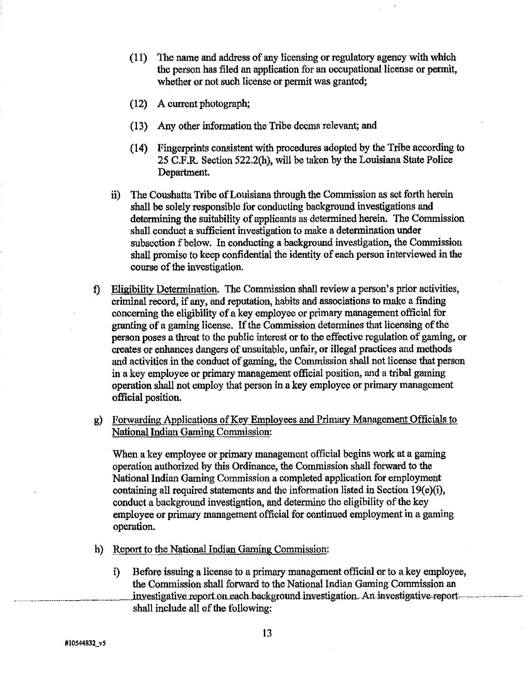- (1 1) The name and address of any licensing or regulatory agency with which the person has filed an application for an occupational license or permit, whether or not such license or permit was granted;
- (12) A current photograph;
- (1 3) Any other information the Tribe deems relevant; and
- (14) Fingerprints consistent with procedures adopted by the Tribe according to 25 C.F.R. Section 522.2(h), will be taken by the Louisiana State Police Department.
- ii) The Coushatta Tribe of Louisiana through the Commission as set forth herein shall be solely responsible for conducting background investigations and determining the suitability of applicants as determined herein. The Commission shall conduct a sufficient investigation to make a determination under subsection f below. In conducting a background investigation, the Commission shall promise to keep confidential the identity of each person interviewed in the course of the investigation.
- **f)** Eligibility Determination. The Commission shall review a person's prior activities, criminal record, if any, and reputation, habits and associations to make a finding concerning the kligibility of akey employee or primary management official for granting of a gaming license. If the Commission determines that licensing of the person poses a threat to the public interest or to the effective regulation of gaming, or creates or enhances dangers of unsuitable, unfair, or illegal practices and methods and activities in the conduct of gaming, the Commission shall not license that person in a key employee or primary management ofticial position, and a tribal gaming operation shall not employ that person in a key employee or primary management official position.
- g) Forwarding Applications of Key Employees and Primary Management Officials to National Indian Gaming Commission:

When a key employee or primary management official begins work at a gaming operation authorized by this Ordinance, the Commission shall forward to the National Indian Gaming Commission a completed application for employment containing all required statements and the information listed in Section 19(e)(i), conduct a background investigation, and determine the eligibility of the key employee or primary management official for continued employment in a gaming operation.

- h) Report to the National Indian **Gamiig** Commission:
	- i) Before issuing a license to a primary management official or to a key employee, the Commission shall forward to the National Indian Gaming Commission an investigative report on each background investigation. An investigative-report~ shall include all of the following: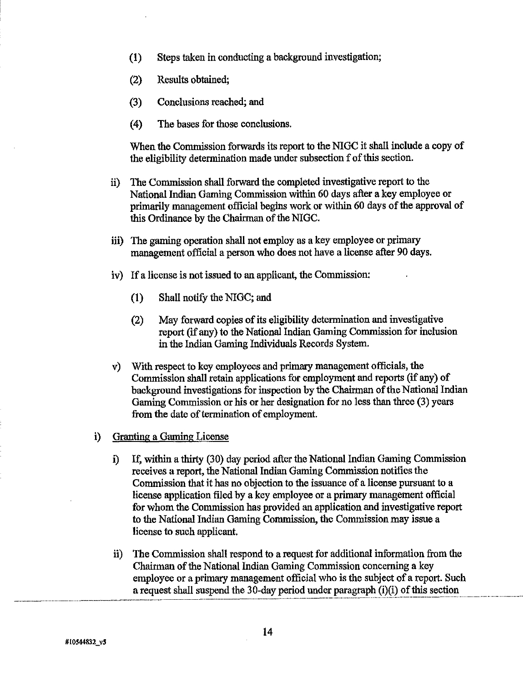- **(1)** Steps taken in conducting a background investigation;
- (2) Results obtained;
- (3) Conclusions reached; and
- (4) The bases for those conclusions.

When the Commission forwards its report to the NIGC it shall include a copy of the eligibility determination made under subsection f of this section.

- ii) The Commission shall forward the completed investigative report to the National Indian Gaming Commission within 60 days after a key employee or primarily management oficial begins work or within 60 days of the approval of this Ordinance by the Chairman of the NIGC.
- iii) The gaming operation shall not employ as a key employee or primary management official a person who does not have a license after 90 days.
- iv) If a license is not issued to an applicant, the Commission:
	- **(1)** Shall notify the NIGC; and
	- **(2)** May fonvard copies of its eligibility determination and investigative report (if any) to the National Indian Gaming Commission for inclusion in the Indian Gaming Individuals Records System.
- v) With respect to key employees and primary management officials, the Commission shall retain applications for employment and reports (if any) of background investigations for inspection by the Chairman of the National Indian Gaming Commission or his or her designation for no less than three (3) years from the date of termination of employment.
- i) Granting a Gaming License
	- i) **If,** within a thirty (30) day period after the National Indian Gaming Commission receives a report, the National Indian Gaming Commission notifies the Commission that it has no obiection to the issuance of a license pursuant to a license application filed by akey employee or a primary management official for whom the Commission has provided an application and investigative report to the National Indian Gaming commission, the Commission may issue a license to such applicant.
- ii) The Commission shall respond to a request for additional information from the Chairman of the National Indian Gaming Commission concerning a key Chairman of the National Indian Gaming Commission concerning a key<br>
employee or a primary management official who is the subject of a report. Such<br>
a request shall suspend the 30-day period under paragraph (i)(i) of this s a request shall suspend the 30-day period under paragraph  $(i)(i)$  of this section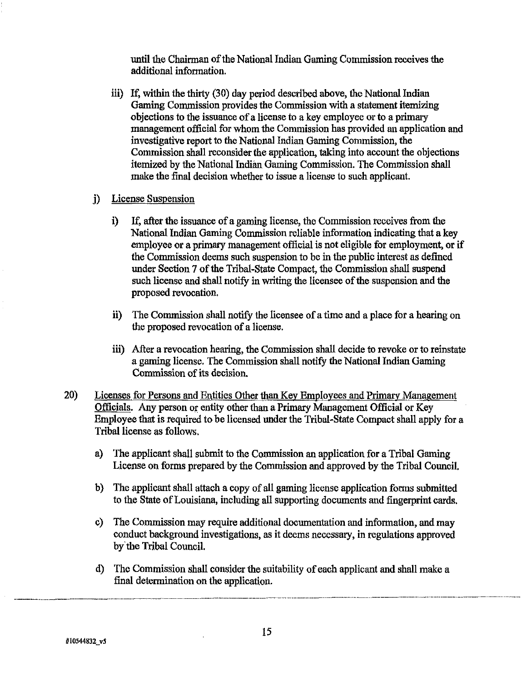until the Chairman of the National Indian Gaming Commission receives the additional information.

iii) If, within the thirty (30) day period described above, the National Indian Gaming Commission provides the Commission with a statement itemizing objections to the issuance of a license to a key employee or to a primary management official for whom the Commission has provided an application and investigative report to the National Indian Gaming Commission, the Commission shall reconsider the application, taking into account the objections itemized by the National Indian Gaming Commission. The Commission shall make the final decision whether **to** issue a license to such applicant.

# j) License Suspension

- i) If, after the issuance of a gaming license, the Commission receives from the National Indian Gaming Commission reliable information indicating that a key employee or a primary management official is not eligible for employment, or if the Commission deems such suspension to be in the public interest as defined under Section 7 of the Tribal-State Compact, the Commission shall suspend such license and shall notify in writing the licensee of the suspension and the proposed revocation.
- ii) The Commission shall notify the licensee of a time and a place for a hearing on the proposed revocation of a license.
- **iii)** After a revocation hearing, the Commission shall decide to revoke or to reinstate a gaming license. The Commission shall notify the National Indian Gaming Commission of its decision.
- 20) Licenses for Persons and Entities Other than Kev Employees and Primary Management Officials. Any person or entity other than a Primary Management Official or Key Employee that is required to be licensed under the Tribal-State Compact shall apply for a Tribal license as follows.
	- a) The applicant shall submit to the Commission an application for a Tribal Gaming License on forms prepared by the Commission and approved by the Tribal Council.
	- b) The applicant shall attach a copy of all gaming license application forms submitted to the State of Louisiana, including all supporting documents and fingerprint cards.
	- c) The Commission may require additional documentation and information, and may conduct background investigations, as it deems necessary, in regulations approved by'the Tribal Council.
	- d) The Commission shall consider the suitability of each applicant and shall make a final determination on the application.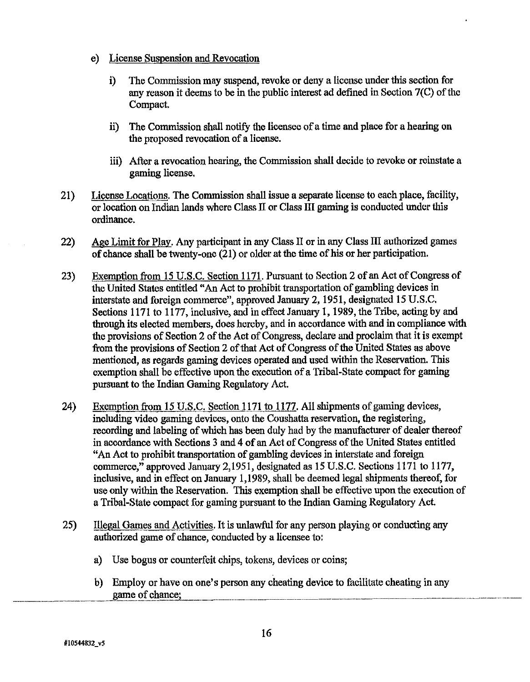- e) License Suspension and Revocation
	- i) The Commission may suspend, revoke or deny a license under this section for any reason it deems to be in the public interest ad defined in Section 7(C) of the Compact.
	- **ii)** The Commission shall notify the licensee of a time and place for a hearing on the proposed revocation of a license.
	- iii) After a revocation hearing, the Commission shall decide to revoke or reinstate a gaming license.
- 21) License Locations. The Commission shall issue a separate license to each place, facility, or location on Indim lands where Class I1 or Class **III** gaming is conducted under this ordinance.
- 22) Age Limit for Play. Any participant in any Class I1 or in any Class III authorized games of chance shall be twenty-one (21) or older at the time of his or her participation.
- 23) Exemption from 15 U.S.C. Section 1171. Pursuant to Section 2 of an Act of Congress of the United States entitled "An Act to prohibit transportation of gambling devices in interstate and foreign commerce", approved January 2, 1951, designated 15 U.S.C. Sections 1171 to 1177, inclusive, and in effect January 1, 1989, the Tribe, acting by and through its elected members, does hereby, and in accordance with and in compliance with the provisions of Section 2 of the Act of Congress, declare and proclaim that it is exempt from the provisions of Section 2 of that Act of Congress of the United States as above mentioned, as regards gaming devices operated and used within the Reservation. This exemption shall be effective upon the execution of a Tribal-State compact for gaming pursuant to the Indian Gaming Regulatory Act.
- 24) Exemption from 15 U.S.C. Section 1171 to 1177. All shipments of gaming devices, including video gaming devices, onto the Coushatta reservation, the registering, recording and labeling of which has been duly had by the manufacturer of dealer thereof in accordance with Sections 3 and 4 of an Act of Congress of the United States entitled "An Act to prohibit transportation of gambling devices in interstate and foreign commerce," approved January 2,1951, designated as 15 U.S.C. Sections 1171 to 1177, inclusive, and in effect on January 1,1989, shall be deemed legal shipments thereof, for use only within the Reservation. This exemption shall be effective upon the execution of a Tribal-State compact for gaming pursuant to the Indian Gaming Regulatory Act.
- 25) Illegal Games and Activities. It is unlawful for any person playing or conducting any authorized game of chance, conducted by a licensee to:
	- a) Use bogus or counterfeit chips, tokens, devices or coins;
	- b) Employ or have on one's person any cheating device to facilitate cheating in any **ame. of chance;** .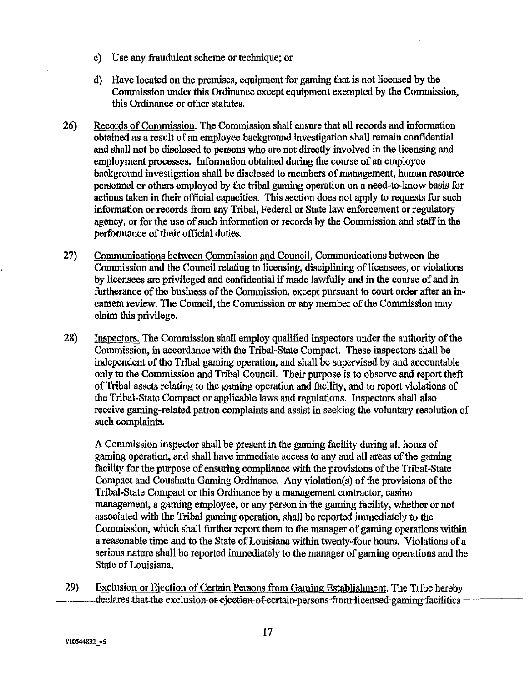- c) Use any ftaudulent scheme or technique; or
- d) Have located on the premises, equipment for gaming that is not licensed by the Commission under this Ordinance except equipment exempted by the Commission, this Ordinance or other statutes.
- 26) Records of Commission. The Commission shall ensure that all records and information obtained as a result of an employee background investigation shall remain confidential and shall not be disclosed to persons who are not directly involved in the licensing and employment processes. Information obtained during the course of an employee background investigation shall be disclosed to members of management, human resource personnel or others employed by the tribal gaming operation on a need-to-know basis for actions taken in their official capacities. This section does not apply to requests for such information or records from any Tribal, Federal or State law enforcement or regulatory agency, or for the use of such information or records by the Commission and staff in the performance of their official duties.
- 27) Communications between Commission and Council. Communications between the Commission and the Council relating to licensing, disciplining of licensees, or violations by licensees **are** privileged and confidential if made lawfully and in the course of and in furtherance of the business of the Commission, except pursuant to court order after an incamera review. The Council, the Commission or any member of the Commission may claim this privilege.
- 28) Inspectors. The Commission shall employ qualified inspectors under the authority of the Commission, in accordance with the Tribal-State Compact. These inspectors shall be independent of the Tribal gaming operation, and shall be supervised by and accountable only to the Commission and Tribal Council. Their purpose is to observe and report theft of Tribal assets relating to the gaming operation and facility, and to report violations of the Tribal-State Compact or applicable laws and regulations. Inspectors shall also receive gaming-related patron complaints and assist in seeking the voluntary resolution of such complaints.

A Commission inspector shall be present in the gaming facility during all hours of gaming operation, and shall have immediate access to any and all areas of the gaming facility for the purpose of ensuring compliance with the provisions of the Tribal-State Compact and Coushatta Gaming Ordinance. Any violation(s) of the provisions of the Tribal-State Compact or this Ordinance by a management contractor, casino management, a gaming employee, or any person in the gaming facility, whether or not associated with the Tribal gaming operation, shall be reported immediately to the Commission, which shall further report them to the manager of gaming operations within a reasonable time and to the State of Louisiana within twenty-four hours. Violations of a serious nature shall be reported immediately to the manager of gaming operations and the State of Louisiana.

29) Exclusion or Ejection of Certain Persons from Gaming Establishment. The Tribe hereby<br>declares-that-the-exclusion-or-ejection-of-certain-persons-from-licensed-gaming-facilities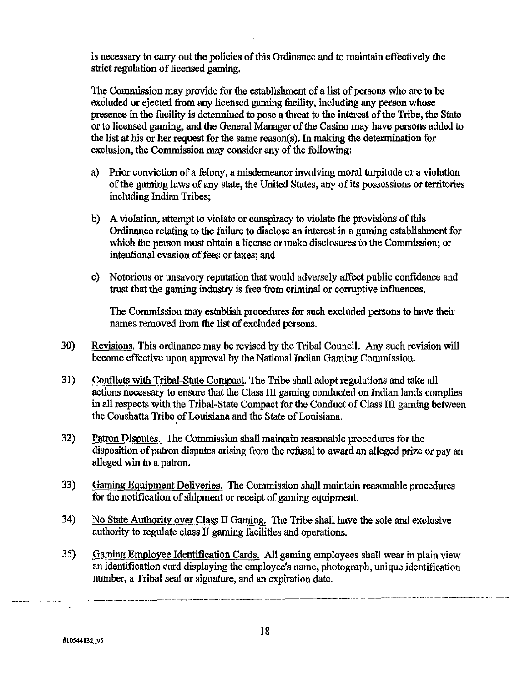is necessary to carry out the policies of this Ordinance and to maintain effectively the **strict** regulation of licensed gaming.

The Commission may provide for the establishment of a list of persons who are to be excluded or ejected from any licensed gaming facility, including any person whose presence in the facility is determined to pose a threat to the interest of the Tribe, the State or to licensed gaming, and the General Manager of the Casino may have persons added to the list at his or her request for the same reason(\$. In making the determination for exclusion, the Commission may consider any of the following:

- a) Prior conviction of a felony, a misdemeanor involving moral turpitude or a violation of the gaming laws of any state, the United States, any of its possessions or territories including Indian Tribes;
- b) A vioIation, attempt to violate or conspiracy to violate the provisions of this Ordinance relating to the failure to disclose an interest in a gaming establishment for which the person must obtain a license or make disclosures to the Commission; or intentional evasion of fees or taxes; and
- c) Notorious or unsavory reputation that would adversely affect public confidence and trust that the gaming industry is free from criminal or corruptive influences.

The Commission may establish procedures for such excluded persons to have their names removed from the list of excIuded persons.

- 30) Revisions. This ordinance may be revised by the Tribal Council. Any such revision will become effective upon approval by the National Indian Gaming Commission.
- 3 1) Conflicts with Tribal-State Compact. The Tribe shall adopt regulations and take all actions necessary to ensure that the Class III gaming conducted on Indian lands complies in all respects with the Tribal-State Compact for the Conduct of Class **I11** gaming between the Coushatta Tribe of Louisiana and the State of Louisiana.
- 32) Patron Disputes. The Commission shall maintain reasonable procedures for the disposition of patron disputes arising **from** the refusal to award an alleged prize or pay an alleged win to a patron.
- 33) Gaming Equipment Deliveries. The Commission shall maintain reasonable procedures for the notification of shipment or receipt of gaming equipment.
- 34) No State Authoritv over Class **I1** Gaming. The Tribe shall have the sole and exclusive authority to regulate class 11 gaming facilities **and** operations.
- 35) Gaming Emplovee Identification Cards. All gaming employees shall wear in plain view an identification card displaying the employee's name, photograph, unique identification number, a Tribal seal or signature, and an expiration date.